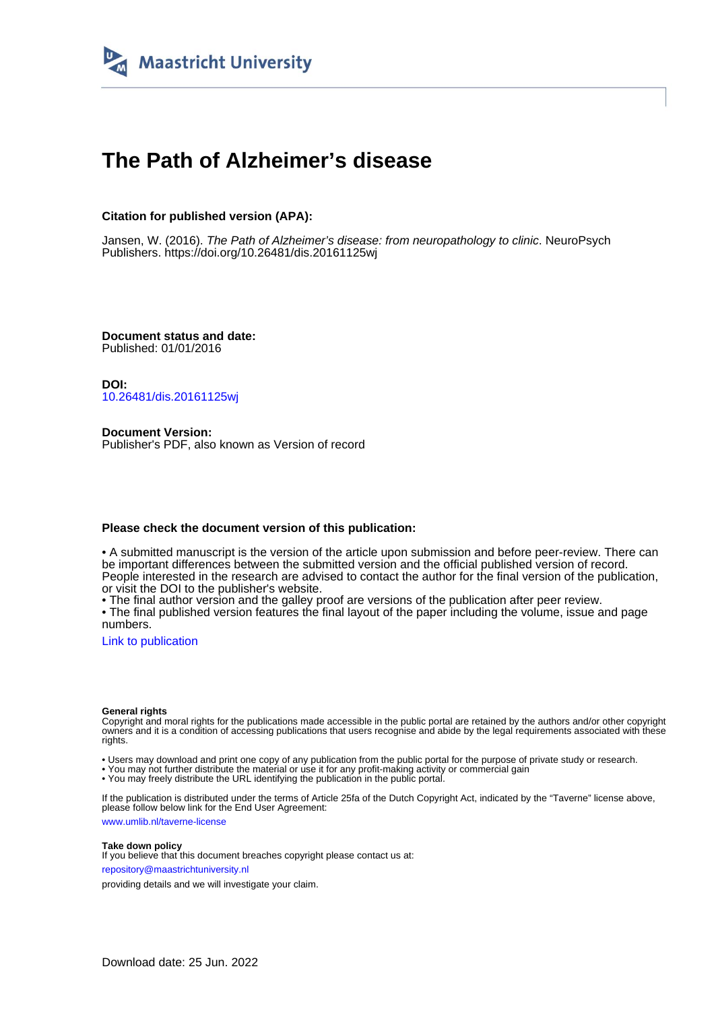

# **The Path of Alzheimer's disease**

# **Citation for published version (APA):**

Jansen, W. (2016). The Path of Alzheimer's disease: from neuropathology to clinic. NeuroPsych Publishers.<https://doi.org/10.26481/dis.20161125wj>

**Document status and date:** Published: 01/01/2016

**DOI:** [10.26481/dis.20161125wj](https://doi.org/10.26481/dis.20161125wj)

**Document Version:** Publisher's PDF, also known as Version of record

## **Please check the document version of this publication:**

• A submitted manuscript is the version of the article upon submission and before peer-review. There can be important differences between the submitted version and the official published version of record. People interested in the research are advised to contact the author for the final version of the publication, or visit the DOI to the publisher's website.

• The final author version and the galley proof are versions of the publication after peer review.

• The final published version features the final layout of the paper including the volume, issue and page numbers.

[Link to publication](https://cris.maastrichtuniversity.nl/en/publications/be28e96b-c7b7-41b0-99c3-210bf24862f9)

#### **General rights**

Copyright and moral rights for the publications made accessible in the public portal are retained by the authors and/or other copyright owners and it is a condition of accessing publications that users recognise and abide by the legal requirements associated with these rights.

• Users may download and print one copy of any publication from the public portal for the purpose of private study or research.

• You may not further distribute the material or use it for any profit-making activity or commercial gain

• You may freely distribute the URL identifying the publication in the public portal.

If the publication is distributed under the terms of Article 25fa of the Dutch Copyright Act, indicated by the "Taverne" license above, please follow below link for the End User Agreement:

www.umlib.nl/taverne-license

### **Take down policy**

If you believe that this document breaches copyright please contact us at: repository@maastrichtuniversity.nl

providing details and we will investigate your claim.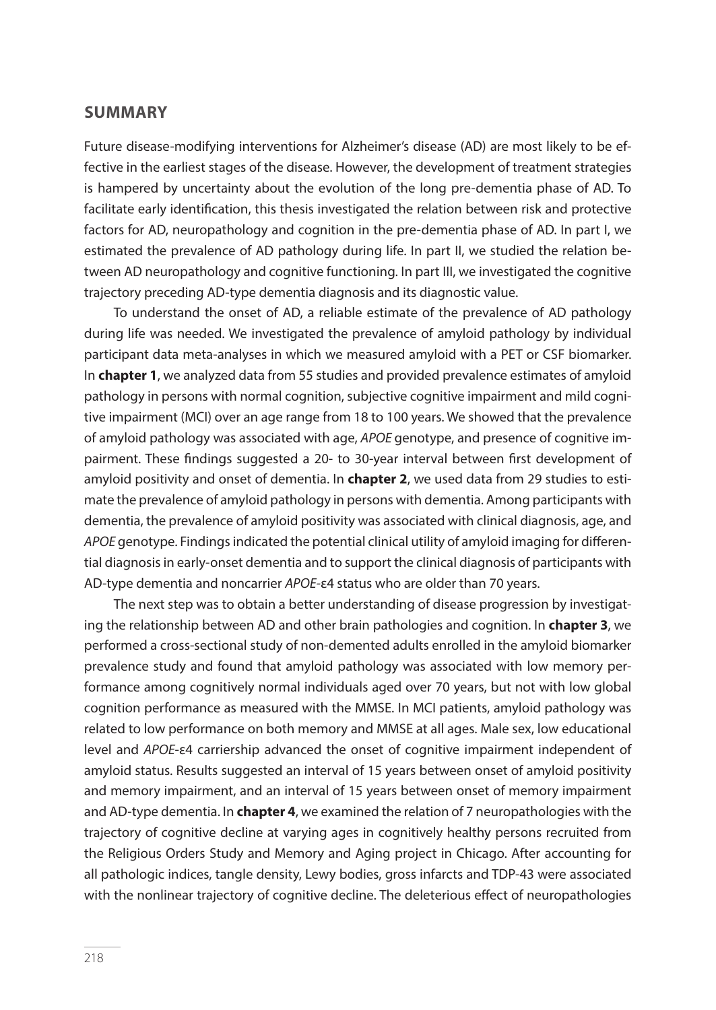## **SUMMARY**

Future disease-modifying interventions for Alzheimer's disease (AD) are most likely to be effective in the earliest stages of the disease. However, the development of treatment strategies is hampered by uncertainty about the evolution of the long pre-dementia phase of AD. To facilitate early identifcation, this thesis investigated the relation between risk and protective factors for AD, neuropathology and cognition in the pre-dementia phase of AD. In part I, we estimated the prevalence of AD pathology during life. In part II, we studied the relation between AD neuropathology and cognitive functioning. In part III, we investigated the cognitive trajectory preceding AD-type dementia diagnosis and its diagnostic value.

To understand the onset of AD, a reliable estimate of the prevalence of AD pathology during life was needed. We investigated the prevalence of amyloid pathology by individual participant data meta-analyses in which we measured amyloid with a PET or CSF biomarker. In **chapter 1**, we analyzed data from 55 studies and provided prevalence estimates of amyloid pathology in persons with normal cognition, subjective cognitive impairment and mild cognitive impairment (MCI) over an age range from 18 to 100 years. We showed that the prevalence of amyloid pathology was associated with age, APOE genotype, and presence of cognitive impairment. These fndings suggested a 20- to 30-year interval between frst development of amyloid positivity and onset of dementia. In **chapter 2**, we used data from 29 studies to estimate the prevalence of amyloid pathology in persons with dementia. Among participants with dementia, the prevalence of amyloid positivity was associated with clinical diagnosis, age, and APOE genotype. Findings indicated the potential clinical utility of amyloid imaging for diferential diagnosis in early-onset dementia and to support the clinical diagnosis of participants with AD-type dementia and noncarrier APOE-ε4 status who are older than 70 years.

The next step was to obtain a better understanding of disease progression by investigating the relationship between AD and other brain pathologies and cognition. In **chapter 3**, we performed a cross-sectional study of non-demented adults enrolled in the amyloid biomarker prevalence study and found that amyloid pathology was associated with low memory performance among cognitively normal individuals aged over 70 years, but not with low global cognition performance as measured with the MMSE. In MCI patients, amyloid pathology was related to low performance on both memory and MMSE at all ages. Male sex, low educational level and APOE-ε4 carriership advanced the onset of cognitive impairment independent of amyloid status. Results suggested an interval of 15 years between onset of amyloid positivity and memory impairment, and an interval of 15 years between onset of memory impairment and AD-type dementia. In **chapter 4**, we examined the relation of 7 neuropathologies with the trajectory of cognitive decline at varying ages in cognitively healthy persons recruited from the Religious Orders Study and Memory and Aging project in Chicago. After accounting for all pathologic indices, tangle density, Lewy bodies, gross infarcts and TDP-43 were associated with the nonlinear trajectory of cognitive decline. The deleterious efect of neuropathologies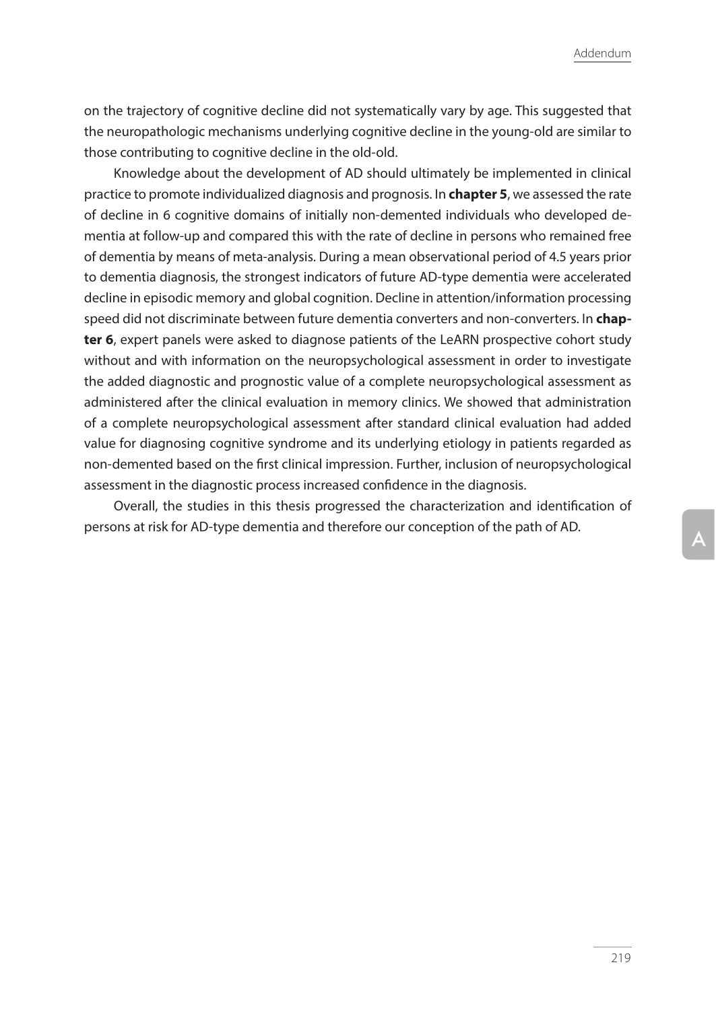Addendum

on the trajectory of cognitive decline did not systematically vary by age. This suggested that the neuropathologic mechanisms underlying cognitive decline in the young-old are similar to those contributing to cognitive decline in the old-old.

Knowledge about the development of AD should ultimately be implemented in clinical practice to promote individualized diagnosis and prognosis. In **chapter 5**, we assessed the rate of decline in 6 cognitive domains of initially non-demented individuals who developed dementia at follow-up and compared this with the rate of decline in persons who remained free of dementia by means of meta-analysis. During a mean observational period of 4.5 years prior to dementia diagnosis, the strongest indicators of future AD-type dementia were accelerated decline in episodic memory and global cognition. Decline in attention/information processing speed did not discriminate between future dementia converters and non-converters. In **chapter 6**, expert panels were asked to diagnose patients of the LeARN prospective cohort study without and with information on the neuropsychological assessment in order to investigate the added diagnostic and prognostic value of a complete neuropsychological assessment as administered after the clinical evaluation in memory clinics. We showed that administration of a complete neuropsychological assessment after standard clinical evaluation had added value for diagnosing cognitive syndrome and its underlying etiology in patients regarded as non-demented based on the frst clinical impression. Further, inclusion of neuropsychological assessment in the diagnostic process increased confdence in the diagnosis.

Overall, the studies in this thesis progressed the characterization and identifcation of persons at risk for AD-type dementia and therefore our conception of the path of AD.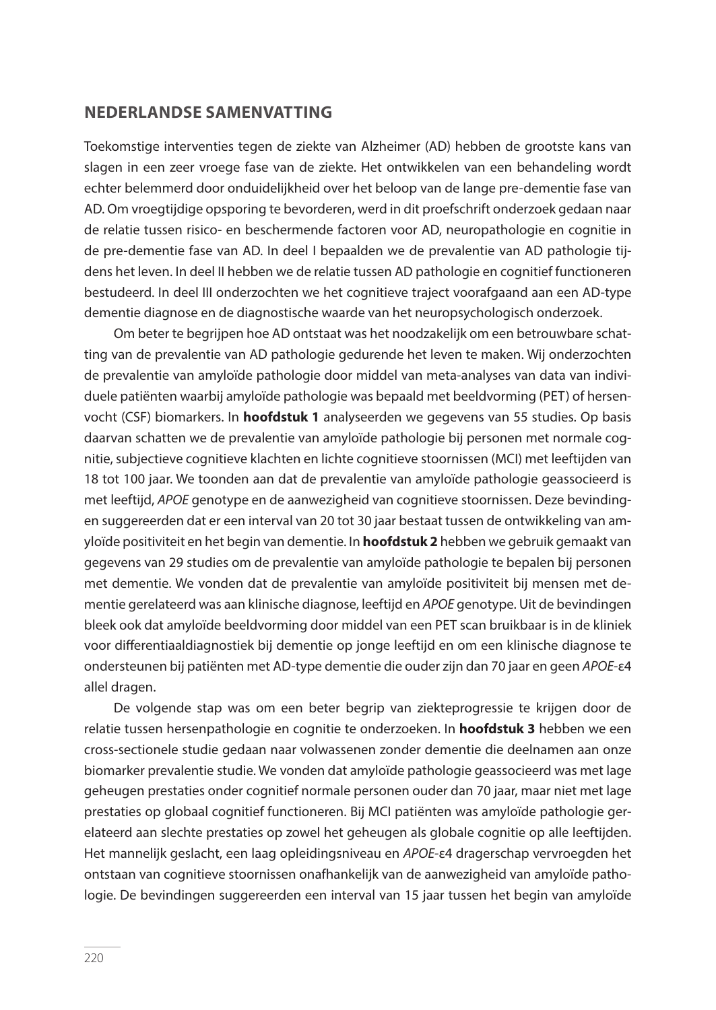## **NEDERLANDSE SAMENVATTING**

Toekomstige interventies tegen de ziekte van Alzheimer (AD) hebben de grootste kans van slagen in een zeer vroege fase van de ziekte. Het ontwikkelen van een behandeling wordt echter belemmerd door onduidelijkheid over het beloop van de lange pre-dementie fase van AD. Om vroegtijdige opsporing te bevorderen, werd in dit proefschrift onderzoek gedaan naar de relatie tussen risico- en beschermende factoren voor AD, neuropathologie en cognitie in de pre-dementie fase van AD. In deel I bepaalden we de prevalentie van AD pathologie tijdens het leven. In deel II hebben we de relatie tussen AD pathologie en cognitief functioneren bestudeerd. In deel III onderzochten we het cognitieve traject voorafgaand aan een AD-type dementie diagnose en de diagnostische waarde van het neuropsychologisch onderzoek.

Om beter te begrijpen hoe AD ontstaat was het noodzakelijk om een betrouwbare schatting van de prevalentie van AD pathologie gedurende het leven te maken. Wij onderzochten de prevalentie van amyloïde pathologie door middel van meta-analyses van data van individuele patiënten waarbij amyloïde pathologie was bepaald met beeldvorming (PET) of hersenvocht (CSF) biomarkers. In **hoofdstuk 1** analyseerden we gegevens van 55 studies. Op basis daarvan schatten we de prevalentie van amyloïde pathologie bij personen met normale cognitie, subjectieve cognitieve klachten en lichte cognitieve stoornissen (MCI) met leeftijden van 18 tot 100 jaar. We toonden aan dat de prevalentie van amyloïde pathologie geassocieerd is met leeftijd, APOE genotype en de aanwezigheid van cognitieve stoornissen. Deze bevindingen suggereerden dat er een interval van 20 tot 30 jaar bestaat tussen de ontwikkeling van amyloïde positiviteit en het begin van dementie. In **hoofdstuk 2** hebben we gebruik gemaakt van gegevens van 29 studies om de prevalentie van amyloïde pathologie te bepalen bij personen met dementie. We vonden dat de prevalentie van amyloïde positiviteit bij mensen met dementie gerelateerd was aan klinische diagnose, leeftijd en APOE genotype. Uit de bevindingen bleek ook dat amyloïde beeldvorming door middel van een PET scan bruikbaar is in de kliniek voor diferentiaaldiagnostiek bij dementie op jonge leeftijd en om een klinische diagnose te ondersteunen bij patiënten met AD-type dementie die ouder zijn dan 70 jaar en geen APOE-ε4 allel dragen.

De volgende stap was om een beter begrip van ziekteprogressie te krijgen door de relatie tussen hersenpathologie en cognitie te onderzoeken. In **hoofdstuk 3** hebben we een cross-sectionele studie gedaan naar volwassenen zonder dementie die deelnamen aan onze biomarker prevalentie studie. We vonden dat amyloïde pathologie geassocieerd was met lage geheugen prestaties onder cognitief normale personen ouder dan 70 jaar, maar niet met lage prestaties op globaal cognitief functioneren. Bij MCI patiënten was amyloïde pathologie gerelateerd aan slechte prestaties op zowel het geheugen als globale cognitie op alle leeftijden. Het mannelijk geslacht, een laag opleidingsniveau en APOE-E4 dragerschap vervroegden het ontstaan van cognitieve stoornissen onafhankelijk van de aanwezigheid van amyloïde pathologie. De bevindingen suggereerden een interval van 15 jaar tussen het begin van amyloïde